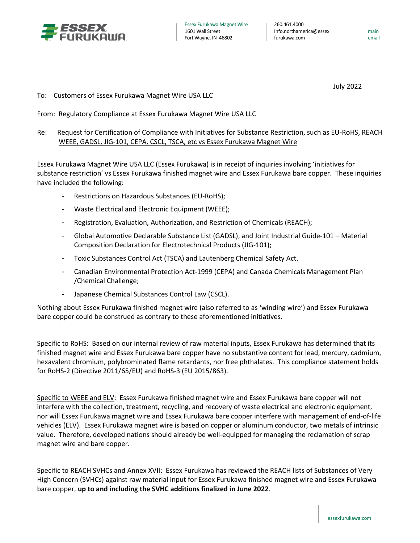

main email

July 2022

## To: Customers of Essex Furukawa Magnet Wire USA LLC

From: Regulatory Compliance at Essex Furukawa Magnet Wire USA LLC

## Re: Request for Certification of Compliance with Initiatives for Substance Restriction, such as EU-RoHS, REACH WEEE, GADSL, JIG-101, CEPA, CSCL, TSCA, etc vs Essex Furukawa Magnet Wire

Essex Furukawa Magnet Wire USA LLC (Essex Furukawa) is in receipt of inquiries involving 'initiatives for substance restriction' vs Essex Furukawa finished magnet wire and Essex Furukawa bare copper. These inquiries have included the following:

- Restrictions on Hazardous Substances (EU-RoHS);
- Waste Electrical and Electronic Equipment (WEEE);
- Registration, Evaluation, Authorization, and Restriction of Chemicals (REACH);
- Global Automotive Declarable Substance List (GADSL), and Joint Industrial Guide-101 Material Composition Declaration for Electrotechnical Products (JIG-101);
- Toxic Substances Control Act (TSCA) and Lautenberg Chemical Safety Act.
- Canadian Environmental Protection Act-1999 (CEPA) and Canada Chemicals Management Plan /Chemical Challenge;
- Japanese Chemical Substances Control Law (CSCL).

Nothing about Essex Furukawa finished magnet wire (also referred to as 'winding wire') and Essex Furukawa bare copper could be construed as contrary to these aforementioned initiatives.

Specific to RoHS: Based on our internal review of raw material inputs, Essex Furukawa has determined that its finished magnet wire and Essex Furukawa bare copper have no substantive content for lead, mercury, cadmium, hexavalent chromium, polybrominated flame retardants, nor free phthalates. This compliance statement holds for RoHS-2 (Directive 2011/65/EU) and RoHS-3 (EU 2015/863).

Specific to WEEE and ELV: Essex Furukawa finished magnet wire and Essex Furukawa bare copper will not interfere with the collection, treatment, recycling, and recovery of waste electrical and electronic equipment, nor will Essex Furukawa magnet wire and Essex Furukawa bare copper interfere with management of end-of-life vehicles (ELV). Essex Furukawa magnet wire is based on copper or aluminum conductor, two metals of intrinsic value. Therefore, developed nations should already be well-equipped for managing the reclamation of scrap magnet wire and bare copper.

Specific to REACH SVHCs and Annex XVII: Essex Furukawa has reviewed the REACH lists of Substances of Very High Concern (SVHCs) against raw material input for Essex Furukawa finished magnet wire and Essex Furukawa bare copper, **up to and including the SVHC additions finalized in June 2022**.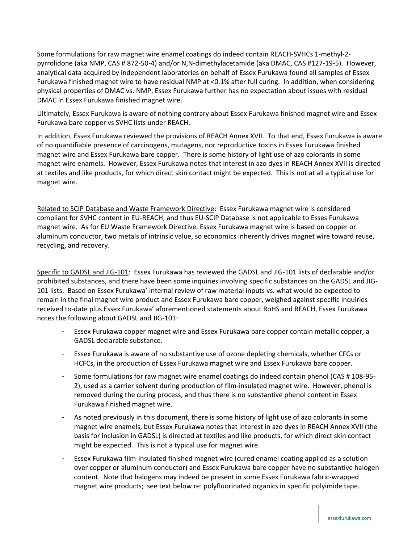Some formulations for raw magnet wire enamel coatings do indeed contain REACH-SVHCs 1-methyl-2 pyrrolidone (aka NMP, CAS # 872-50-4) and/or N,N-dimethylacetamide (aka DMAC, CAS #127-19-5). However, analytical data acquired by independent laboratories on behalf of Essex Furukawa found all samples of Essex Furukawa finished magnet wire to have residual NMP at <0.1% after full curing. In addition, when considering physical properties of DMAC vs. NMP, Essex Furukawa further has no expectation about issues with residual DMAC in Essex Furukawa finished magnet wire.

Ultimately, Essex Furukawa is aware of nothing contrary about Essex Furukawa finished magnet wire and Essex Furukawa bare copper vs SVHC lists under REACH.

In addition, Essex Furukawa reviewed the provisions of REACH Annex XVII. To that end, Essex Furukawa is aware of no quantifiable presence of carcinogens, mutagens, nor reproductive toxins in Essex Furukawa finished magnet wire and Essex Furukawa bare copper. There is some history of light use of azo colorants in some magnet wire enamels. However, Essex Furukawa notes that interest in azo dyes in REACH Annex XVII is directed at textiles and like products, for which direct skin contact might be expected. This is not at all a typical use for magnet wire.

Related to SCIP Database and Waste Framework Directive: Essex Furukawa magnet wire is considered compliant for SVHC content in EU-REACH, and thus EU-SCIP Database is not applicable to Esses Furukawa magnet wire. As for EU Waste Framework Directive, Essex Furukawa magnet wire is based on copper or aluminum conductor, two metals of intrinsic value, so economics inherently drives magnet wire toward reuse, recycling, and recovery.

Specific to GADSL and JIG-101: Essex Furukawa has reviewed the GADSL and JIG-101 lists of declarable and/or prohibited substances, and there have been some inquiries involving specific substances on the GADSL and JIG-101 lists. Based on Essex Furukawa' internal review of raw material inputs vs. what would be expected to remain in the final magnet wire product and Essex Furukawa bare copper, weighed against specific inquiries received to-date plus Essex Furukawa' aforementioned statements about RoHS and REACH, Essex Furukawa notes the following about GADSL and JIG-101:

- Essex Furukawa copper magnet wire and Essex Furukawa bare copper contain metallic copper, a GADSL declarable substance.
- Essex Furukawa is aware of no substantive use of ozone depleting chemicals, whether CFCs or HCFCs, in the production of Essex Furukawa magnet wire and Essex Furukawa bare copper.
- Some formulations for raw magnet wire enamel coatings do indeed contain phenol (CAS # 108-95- 2), used as a carrier solvent during production of film-insulated magnet wire. However, phenol is removed during the curing process, and thus there is no substantive phenol content in Essex Furukawa finished magnet wire.
- As noted previously in this document, there is some history of light use of azo colorants in some magnet wire enamels, but Essex Furukawa notes that interest in azo dyes in REACH Annex XVII (the basis for inclusion in GADSL) is directed at textiles and like products, for which direct skin contact might be expected. This is not a typical use for magnet wire.
- Essex Furukawa film-insulated finished magnet wire (cured enamel coating applied as a solution over copper or aluminum conductor) and Essex Furukawa bare copper have no substantive halogen content. Note that halogens may indeed be present in some Essex Furukawa fabric-wrapped magnet wire products; see text below re: polyfluorinated organics in specific polyimide tape.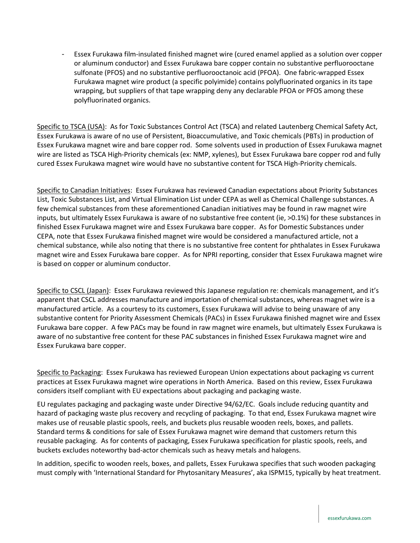- Essex Furukawa film-insulated finished magnet wire (cured enamel applied as a solution over copper or aluminum conductor) and Essex Furukawa bare copper contain no substantive perfluorooctane sulfonate (PFOS) and no substantive perfluorooctanoic acid (PFOA). One fabric-wrapped Essex Furukawa magnet wire product (a specific polyimide) contains polyfluorinated organics in its tape wrapping, but suppliers of that tape wrapping deny any declarable PFOA or PFOS among these polyfluorinated organics.

Specific to TSCA (USA): As for Toxic Substances Control Act (TSCA) and related Lautenberg Chemical Safety Act, Essex Furukawa is aware of no use of Persistent, Bioaccumulative, and Toxic chemicals (PBTs) in production of Essex Furukawa magnet wire and bare copper rod. Some solvents used in production of Essex Furukawa magnet wire are listed as TSCA High-Priority chemicals (ex: NMP, xylenes), but Essex Furukawa bare copper rod and fully cured Essex Furukawa magnet wire would have no substantive content for TSCA High-Priority chemicals.

Specific to Canadian Initiatives: Essex Furukawa has reviewed Canadian expectations about Priority Substances List, Toxic Substances List, and Virtual Elimination List under CEPA as well as Chemical Challenge substances. A few chemical substances from these aforementioned Canadian initiatives may be found in raw magnet wire inputs, but ultimately Essex Furukawa is aware of no substantive free content (ie, >0.1%) for these substances in finished Essex Furukawa magnet wire and Essex Furukawa bare copper. As for Domestic Substances under CEPA, note that Essex Furukawa finished magnet wire would be considered a manufactured article, not a chemical substance, while also noting that there is no substantive free content for phthalates in Essex Furukawa magnet wire and Essex Furukawa bare copper. As for NPRI reporting, consider that Essex Furukawa magnet wire is based on copper or aluminum conductor.

Specific to CSCL (Japan): Essex Furukawa reviewed this Japanese regulation re: chemicals management, and it's apparent that CSCL addresses manufacture and importation of chemical substances, whereas magnet wire is a manufactured article. As a courtesy to its customers, Essex Furukawa will advise to being unaware of any substantive content for Priority Assessment Chemicals (PACs) in Essex Furukawa finished magnet wire and Essex Furukawa bare copper. A few PACs may be found in raw magnet wire enamels, but ultimately Essex Furukawa is aware of no substantive free content for these PAC substances in finished Essex Furukawa magnet wire and Essex Furukawa bare copper.

Specific to Packaging: Essex Furukawa has reviewed European Union expectations about packaging vs current practices at Essex Furukawa magnet wire operations in North America. Based on this review, Essex Furukawa considers itself compliant with EU expectations about packaging and packaging waste.

EU regulates packaging and packaging waste under Directive 94/62/EC. Goals include reducing quantity and hazard of packaging waste plus recovery and recycling of packaging. To that end, Essex Furukawa magnet wire makes use of reusable plastic spools, reels, and buckets plus reusable wooden reels, boxes, and pallets. Standard terms & conditions for sale of Essex Furukawa magnet wire demand that customers return this reusable packaging. As for contents of packaging, Essex Furukawa specification for plastic spools, reels, and buckets excludes noteworthy bad-actor chemicals such as heavy metals and halogens.

In addition, specific to wooden reels, boxes, and pallets, Essex Furukawa specifies that such wooden packaging must comply with 'International Standard for Phytosanitary Measures', aka ISPM15, typically by heat treatment.